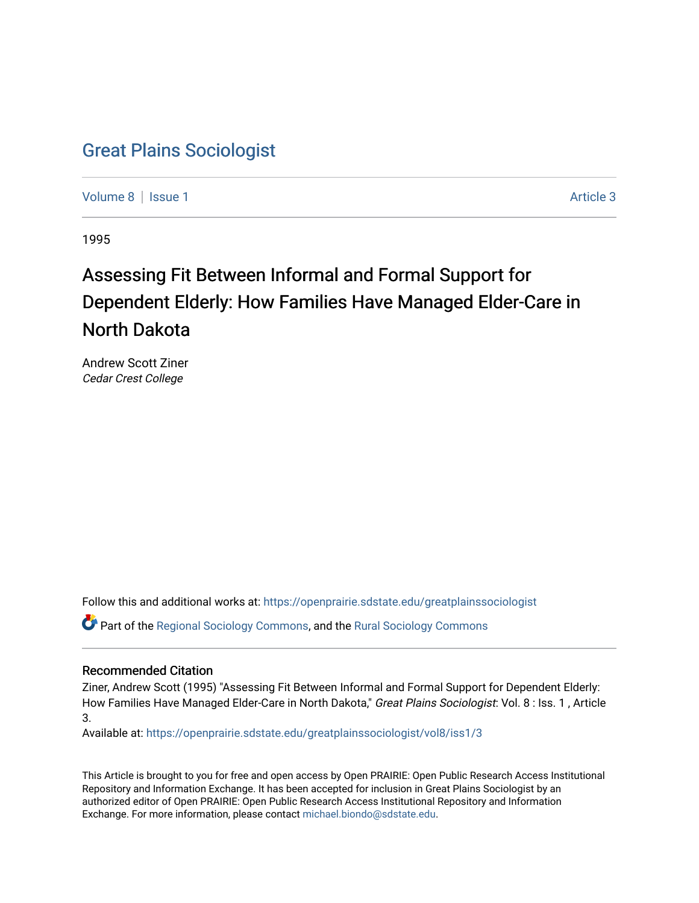# [Great Plains Sociologist](https://openprairie.sdstate.edu/greatplainssociologist)

[Volume 8](https://openprairie.sdstate.edu/greatplainssociologist/vol8) | [Issue 1](https://openprairie.sdstate.edu/greatplainssociologist/vol8/iss1) Article 3

1995

# Assessing Fit Between Informal and Formal Support for Dependent Elderly: How Families Have Managed Elder-Care in North Dakota

Andrew Scott Ziner Cedar Crest College

Follow this and additional works at: [https://openprairie.sdstate.edu/greatplainssociologist](https://openprairie.sdstate.edu/greatplainssociologist?utm_source=openprairie.sdstate.edu%2Fgreatplainssociologist%2Fvol8%2Fiss1%2F3&utm_medium=PDF&utm_campaign=PDFCoverPages) 

Part of the [Regional Sociology Commons](http://network.bepress.com/hgg/discipline/427?utm_source=openprairie.sdstate.edu%2Fgreatplainssociologist%2Fvol8%2Fiss1%2F3&utm_medium=PDF&utm_campaign=PDFCoverPages), and the [Rural Sociology Commons](http://network.bepress.com/hgg/discipline/428?utm_source=openprairie.sdstate.edu%2Fgreatplainssociologist%2Fvol8%2Fiss1%2F3&utm_medium=PDF&utm_campaign=PDFCoverPages) 

### Recommended Citation

Ziner, Andrew Scott (1995) "Assessing Fit Between Informal and Formal Support for Dependent Elderly: How Families Have Managed Elder-Care in North Dakota," Great Plains Sociologist: Vol. 8 : Iss. 1, Article 3.

Available at: [https://openprairie.sdstate.edu/greatplainssociologist/vol8/iss1/3](https://openprairie.sdstate.edu/greatplainssociologist/vol8/iss1/3?utm_source=openprairie.sdstate.edu%2Fgreatplainssociologist%2Fvol8%2Fiss1%2F3&utm_medium=PDF&utm_campaign=PDFCoverPages) 

This Article is brought to you for free and open access by Open PRAIRIE: Open Public Research Access Institutional Repository and Information Exchange. It has been accepted for inclusion in Great Plains Sociologist by an authorized editor of Open PRAIRIE: Open Public Research Access Institutional Repository and Information Exchange. For more information, please contact [michael.biondo@sdstate.edu.](mailto:michael.biondo@sdstate.edu)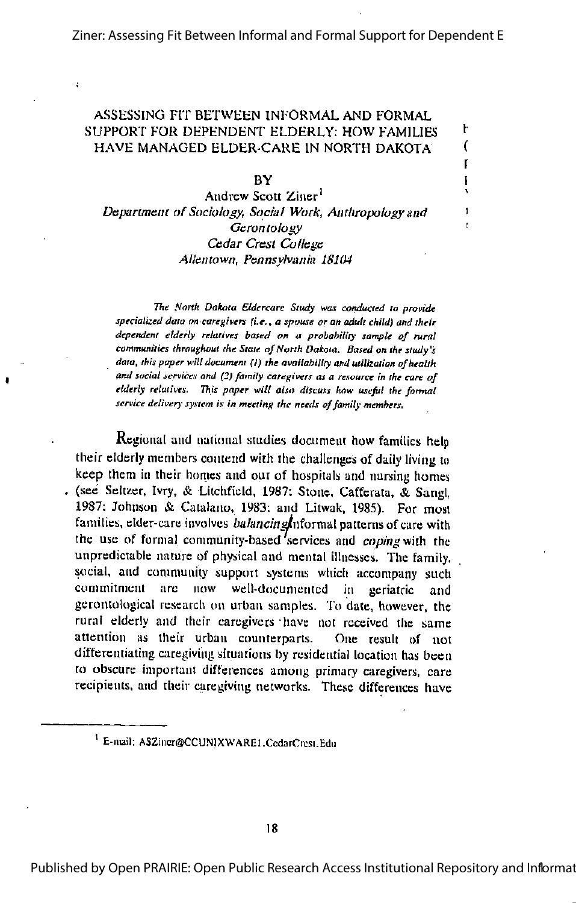r

#### ASSESSING FIT BETWEEN INFORMAL AND FORMAL SUPPORT FOR DEPENDENT ELDERLY: HOW FAMILIES  $+$  HAVE MANAGED ELDER-CARE IN NORTH DAKOTA  $-$  ( HAVE MANAGED ELDER-CARE IN NORTH DAKOTA

 $BY$  is a set of  $\mathbb{R}$ 

Andrew Scoti Ziner' Department of Sociology, Social Work, Anthropology and <sup>1</sup> Gerontology Cedar Crest College Allentown, Pennsylvania 18104

The North Dakota Eldercare Study was conducted to provide speciaiized data on caregivers (i.e., a spouse or an adult child) and their dependent elderly relatives based on a probability sample of rural communities throughout the State of North Dakota. Based on the study's data, this paper will document (1) the availability and utilization of health and social services and (2) family caregivers as a resource in the care of elderly relatives. This paper will also discuss how useful the formal service delivery system is in meeting the needs of family members.

Regional and national studies document how families help their elderly members contend with the diallenges of daily living to keep them in their homes and our of hospitals and nursing homes . (see Seltzer, Ivry, & Litchfield, 1987; Stone, Cafferata, & Sang!, 1987; Johnson & Caialano, 1983: and Litwak, 1985). For most families, elder-care involves *balancing* $\ln$ formal patterns of care with the use of formal community-based services and coping with the unpredictable nature of physical and mental illnesses. The family, social, and community support systems which accompany such commitment arc now well-documented in geriatric and gerontological research on urban samples. To date, however, the rural elderly and their caregivers have not received the same attention as their urban counterparts. One result of not differentiating caregiving situations by residential location has been to obscure important differences among primary caregivers, care recipients, and their caregiving networks. These differences have

<sup>&#</sup>x27; E-niail; ASZiiicr@CCUNIXWAREl.CcdarCrcsi.Edii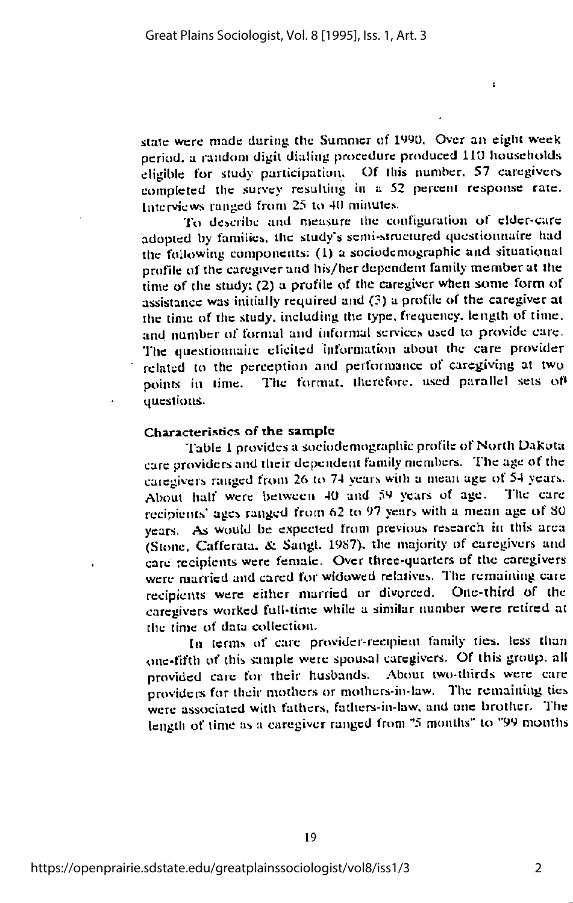state were made during the Summer of 1990. Over an eight week period, a random digit dialing procedure produced IIU households eligible for study participation. Of this number. 57 curegivcrs completed the survey resulting in a 52 percent response rate. Interviews ranged from 25 to 4(1 minutes.

ł.

To describe and measure the configuration of cldcr-carc adopted by families, the study's semi-structured questionnaire had the following components: (I) a sociodcmographic and siiuaiioual profile of the caregover and his/her dependent family member at the time of the study:  $(2)$  a profile of the caregiver when some form of assistance was initially required and (3) a profile of the caregiver at the time of the study, including the type, frequency, length of time, and number of formal and informal services used to provide care. The questionnaire elicited information about the care provider related to the perception and performance of caregiving at two points in time. The format, therefore, used parallel sets of questions.

#### Characteristics of the sample

Table 1 provides a sociodcmographic profile of North Dakota care providersand their dependent family members. The age of the caregivers ranged from 26 to 74 years with a mean age of  $54$  years. .About half were between 40 and 59 years of age. The care recipients' ages ranged from 62 to 97 years with a mean age of SO years. As would be expected from previous research in this area (Stone, Caffcraia. &. Sangl. 19S7). the majority of carcgivcrs and care recipients were female. Over three-quarters of the caregivers were married and cared for widowed relatives. The remaining care<br>recipients, were either married or divorced. One-third of the recipients were either married or divorced. carcgivcrs worked full-time while a similar number were retired at the time of data collection.

In terms of care provider-recipient family ties, less than one-fifth of this sample were spousal caregivers. Of this group, all provided care for their husbands. About two-thirds were care providers for their mothers or mothers-in-law. The remaining tics were associated with fathers, fathers-in-law. and one brother. The length of time as a caregiver ranged from "5 months" to "99 months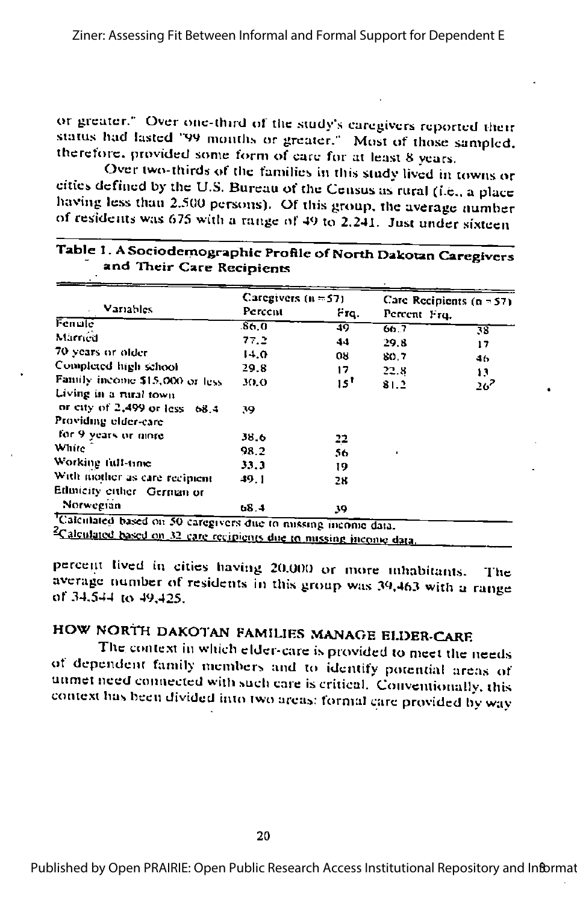or greater." Over one-third of the study's caregivers reported their status had lasted '99 months or greater." Most of those sampled. therefore, provided some form of care for at least 8 years.

Over two-thirds of the families in this study lived in towns or cities defined by the U.S. Bureau of the Census as rural (i.e., a place having less than 2.500 persons). Of this group, the average number of residents was 675 with a range of 49 to 2.241. Just under sixteen

| Variables<br>Fenule                                                        | Caregivers $(n = 57)$ |            | Care Recipients $(n = 57)$ |        |
|----------------------------------------------------------------------------|-----------------------|------------|----------------------------|--------|
|                                                                            | Percent<br>86.0       | Frq.<br>49 | Percent Frq.               |        |
|                                                                            |                       |            | 60.7                       | 38     |
| Married                                                                    | 77.2                  | 44         | 29.3                       | 17     |
| 70 years or older                                                          | 14.0                  | 08         | 80.7                       | 46     |
| Completed high school                                                      | 29.8                  | 17         | 22.8                       | 13.    |
| Family income \$15,000 or less<br>Living in a rural town                   | 30.0                  | 15'        | 81.2                       | $26^2$ |
| or city of 2,499 or less 68.4                                              | 39.                   |            |                            |        |
| Providing elder-care                                                       |                       |            |                            |        |
| for 9 years or more                                                        | 38.6                  | 22         |                            |        |
| White                                                                      | 98.2                  | 56         | ٠                          |        |
| Working full-time                                                          | 33.3                  | 19         |                            |        |
| With mother as care recipient                                              | 49.1                  | 28         |                            |        |
| Ethnicity either German or                                                 |                       |            |                            |        |
| Norwegian<br>Calculated based on 50 caregivers due to missing income data. | 46.4                  | 39         |                            |        |

### Table 1. A Sociodemographic Profile of North Dakotan Caregivers and Their Care Recipients

percent lived in cities having 20,000 or more inhabitants. The average number of residents in this group was 39,463 with a range of 34.544 to 49,425.

## HOW NORTH DAKOTAN FAMILIES MANAGE ELDER-CARE

The context in which elder-care is provided to meet the needs of dependent family members and to identify potential areas of unmet need connected with such care is critical. Conventionally, this context has been divided into two areas: formal care provided by way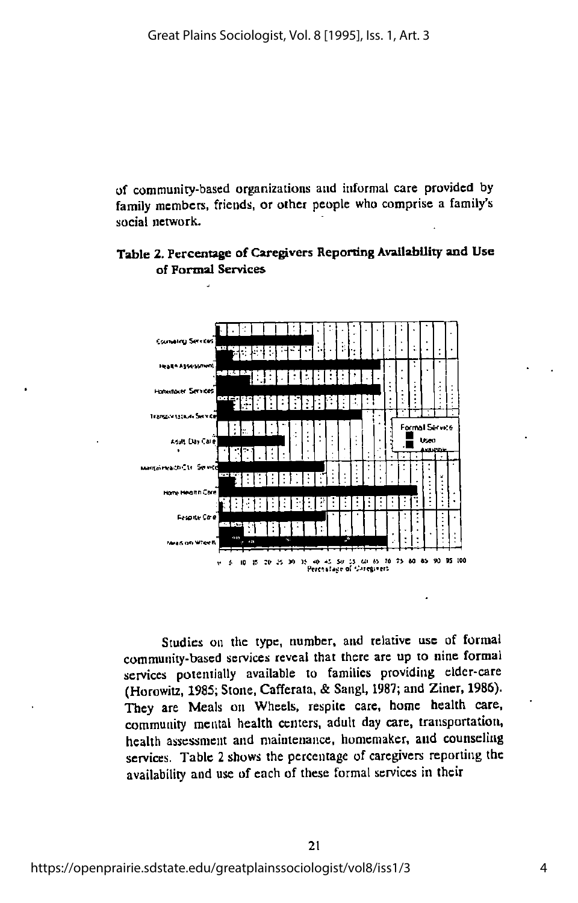of community-based organizations and informal care provided by family members, friends, or other people who comprise a family's social network.





Studies on the type, number, and relative use of formal community-based services reveal that there arc up to nine formal services potentially available to families providing elder-care (Horowitz, 1985; Stone, Cafferata, & Sangl, 1987; and Ziner, 1986). They are Meals on Wheels, respite care, home health care, community mental health centers, adult day care, transportation, health assessment and maintenance, homemaker, and counseling services. Table 2 shows the percentage of caregivers reporting the availability and use of each of these formal services in their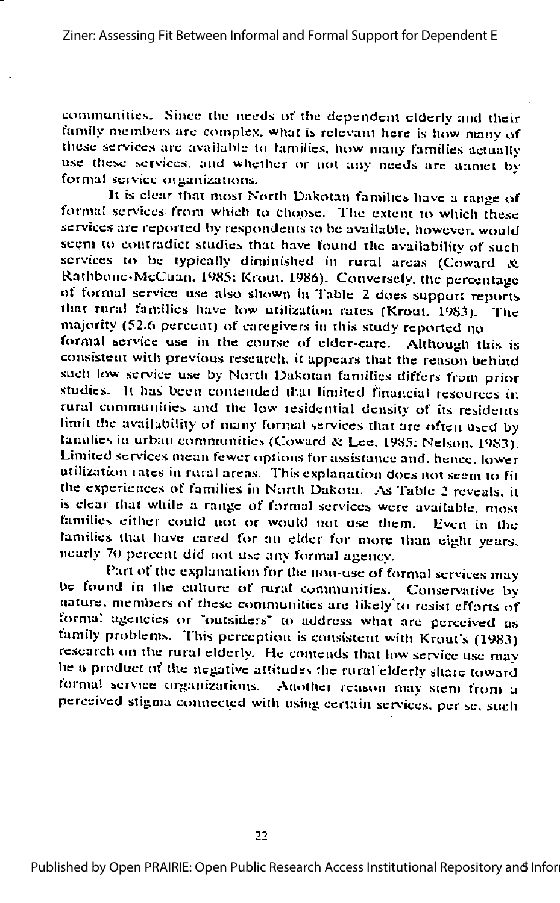communities. Since the needs of the dependent elderly and their family members are complex, what is relevant here is how many of these services are available to families, how many families actually use these services, and whether or not any needs are unmet by formal service organizations.

It is clear that most North Dakotan families have a range of formal services from which to choose. The extent to which these services are reported by respondents to be available, however, would seem to contradict studies that have found the availability of such services to be typically diminished in rural areas (Coward & Rathbone-McCuan. 1985; Krout, 1986). Conversely, the percentage of formal service use also shown in Table 2 does support reports that rural families have low utilization rates (Krout, 1983). The majority (52.6 percent) of caregivers in this study reported no formal service use in the course of elder-care. Although this is consistent with previous research, it appears that the reason behind such low service use by North Dakotan families differs from prior studies. It has been contended that limited financial resources in rural communities and the low residential density of its residents limit the availability of many formal services that are often used by families in urban communities (Coward & Lee, 1985; Nelson, 1983). Limited services mean fewer options for assistance and, hence, lower utilization rates in rural areas. This explanation does not seem to fit the experiences of families in North Dakota. As Table 2 reveals, it is clear that while a range of formal services were available, most

families either could not or would not use them. Even in the families that have cared for an elder for more than eight years. nearly 70 percent did not use any formal agency.

Part of the explanation for the non-use of formal services may be found in the culture of rural communities. Conservative by nature, members of these communities are likely to resist efforts of formal agencies or "outsiders" to address what are perceived as family problems. This perception is consistent with Krout's (1983) research on the rural elderly. He contends that low service use may be a product of the negative attitudes the rural elderly share toward formal service organizations. Another reason may stem from a perceived stigma connected with using certain services, per se, such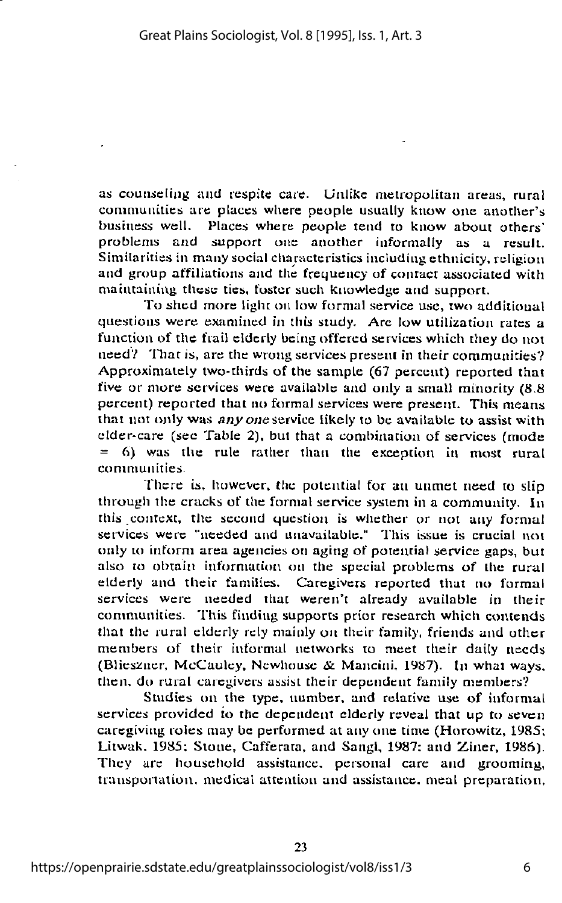as counseling and respite care. Unlike metropolitan areas, rural communities are places where people usually know one another's business well. Places where people tend to know about others' problems and support one another informally as a result. Similarities in many social characteristics including ethnicity, religion and group affiliations and the frequency of contact associated with maintaining these ties, foster such knowledge and support.

To shed more light on low formal service use, two additional questions were examined in this study. Are low utilization rates a function of the frail elderly being offered services which they do not need? That is, are the wrong services present in their communities? Approximately two-thirds of the sample (67 percent) reported that five or more services were available and only a small minority (8.8 percent) reported that no formal services were present. This means that not only was any one service likely to be available to assist with elder-care (see Table 2), but that a combination of services (mode  $= 6$ ) was the rule rather than the exception in most rural communities.

There is. however, the potential for an unmet need to slip through the cracks of the formal service system in a community. In this context, the second question is wliether or not any formal services were "needed and unavailable." This issue is crucial not only to inform area agencies on aging of potential service gaps, but also to obtain information on the special problems of the rural elderly and their families. Caregivers reported that no formal services were needed that weren't already available in their communities. This finding supports prior research which contends that the rural elderly rely mainly on their family, friends and other members of their informal networks to meet their daily needs (Blieszner, McCauley, Newhouse & Mancini, 1987). In what ways, then, do rural carcgivers assist their dependent family members?

Studies on the type, number, and relative use of informal services provided to the dependent elderly reveal that up to seven caregiving roles may be performed at any one time (Horowitz, 1985; Litwak. 1985; Stone, Cafferata, and Sangl, 1987; and Ziner, 1986). They arc household assistance, personal care and grooming, trausponation, medical attention and assistance, meal preparation.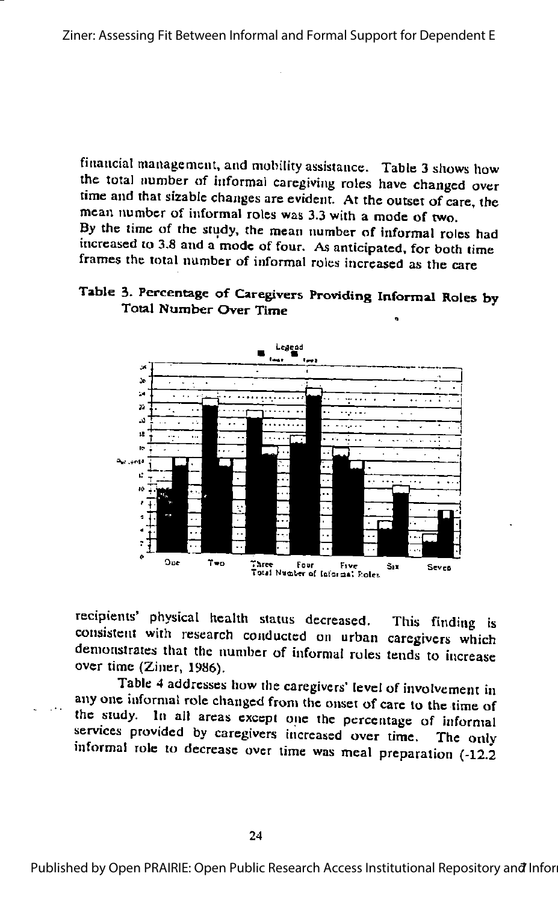financial management, and mobility assistance. Table 3 shows how the total number of informal caregiving roles have changed over time and that sizable changes are evident. At the outset of care, the mean number of informal roles was 3.3 with a mode of two. By the time of the study, the mean number of informal roles had increased to 3.8 and a mode of four. As anticipated, for both time frames the total number of informal roles increased as the care

## Table 3. Percentage of Caregivers Providing Informal Roles by Total Number Over Time



recipients' physical health status decreased. This finding is consistent with research conducted on urban caregivers which demonstrates that the number of informal roles tends to increase over time (Ziner, 1986).

Table 4 addresses how the caregivers' level of involvement in any one informal role changed from the onset of care to the time of the study. In all areas except one the percentage of informal services provided by caregivers increased over time. The only informal role to decrease over time was meal preparation (-12.2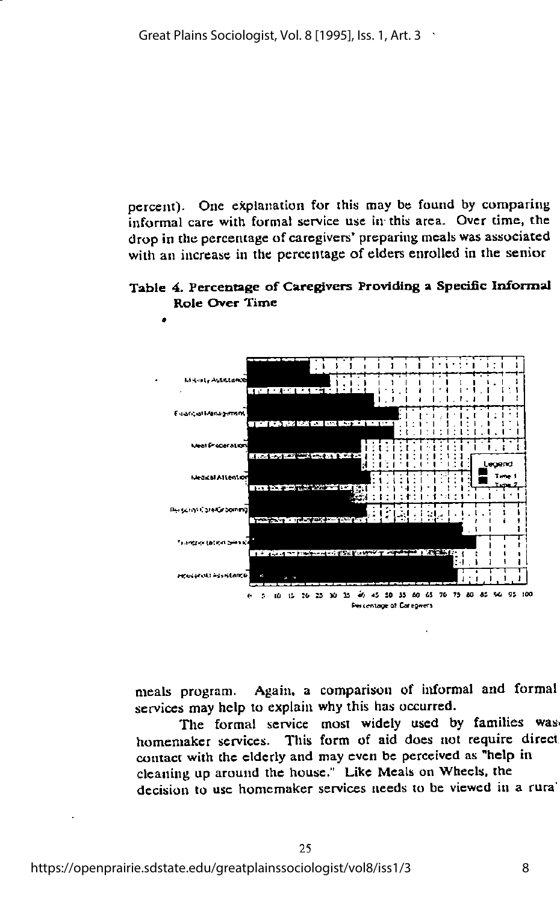percent). One explanation for this may be found by comparing informal care with formal service use in this area. Over time, the drop in the percentage of caregivers' preparing meals was associated with an increase in the percentage of elders enrolled in the senior

Table 4. Percentage of Caregivers Providing a Specific Informal Role Over Time



meals program. Again, a comparison of informal and formal services may help to explain why this has occurred.

The formal service most widely used by families was homemaker services. This form of aid does not require direct contact with the elderly and may even be perceived as "help in cleaning up around the house." Like Meals on Wheels, the decision to use homemaker services needs to be viewed in a rural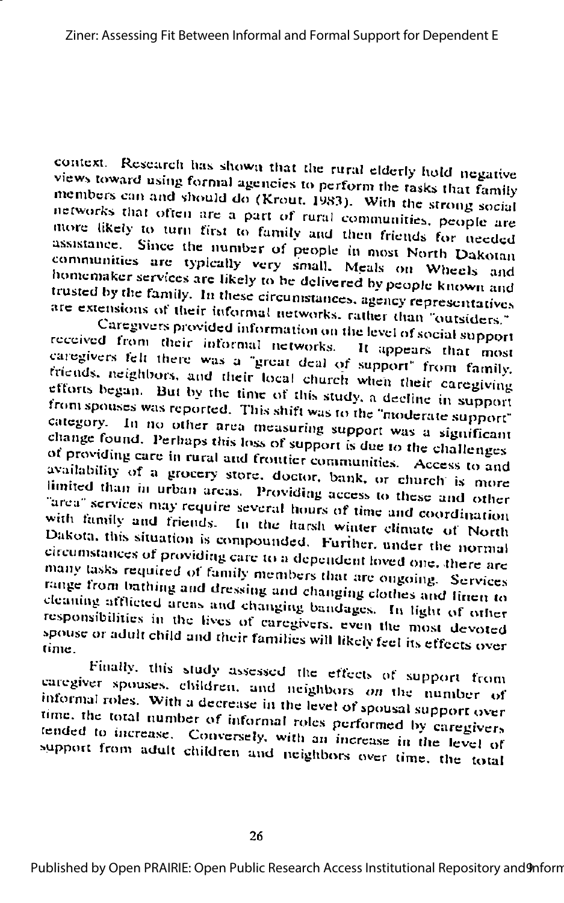context. Research has shown that the rural elderly hold negative views toward using formal agencies to perform the tasks that family members can and should do (Krout, 1983). With the strong social networks that often are a part of rural communities, people are more likely to turn first to family and then friends for needed assistance. Since the number of people in most North Dakotan communities are typically very small. Meals on Wheels and homemaker services are likely to be delivered by people known and trusted by the family. In these circumstances, agency representatives are extensions of their informal networks, rather than "outsiders."

Caregivers provided information on the level of social support received from their informal networks. It appears that most caregivers felt there was a "great deal of support" from family. friends, neighbors, and their local church when their caregiving efforts began. But by the time of this study, a decline in support from spouses was reported. This shift was to the "moderate support" category. In no other area measuring support was a significant change found. Perhaps this loss of support is due to the challenges of providing care in rural and frontier communities. Access to and availability of a grocery store, doctor, bank, or church is more limited than in urban areas. Providing access to these and other "area" services may require several hours of time and coordination with family and friends. In the harsh winter climate of North Dakota, this situation is compounded. Further, under the normal circumstances of providing care to a dependent loved one, there are many tasks required of family members that are ougoing. Services range from bathing and dressing and changing clothes and linen to cleaning afflicted areas and changing bandages. In light of other responsibilities in the lives of caregivers, even the most devoted spouse or adult child and their families will likely feel its effects over time.

Finally, this study assessed the effects of support from caregiver spouses, children, and neighbors on the number of informal roles. With a decrease in the level of spousal support over time, the total number of informal roles performed by caregivers tended to increase. Conversely, with an increase in the level of support from adult children and neighbors over time, the total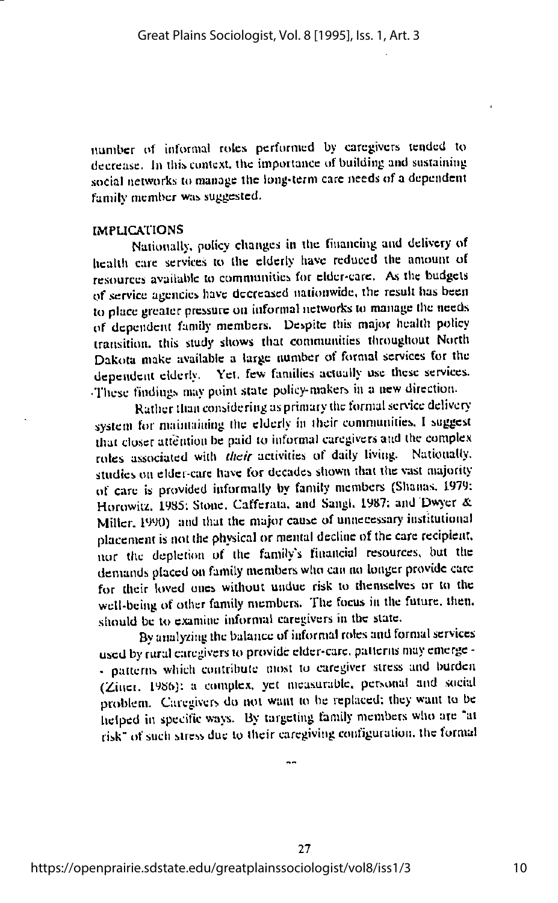number of informal roles performed by caregivers tended to decrease. In this context, the importance of building and sustaining social networks to manage the long-term care needs of a dependent family member was suggested.

#### **IMPLICATIONS**

Nationally, policy changes in the financing and delivery of health care services to the elderly have reduced the amount of resources available to communities for elder-care. As the budgets of service agencies have decreased nationwide, the result has been to place greater pressure on informal networks to manage the needs of dependent family members. Despite this major health policy transition, this study shows that communities throughout North Dakota make available a large number of formal services for the dependent elderly. Yet, few families actually use these services. These findings may point state policy-makers in a new direction.

Rather than considering as primary the formal service delivery system for maintaining the elderly in their communities. I suggest that closer attention be paid to informal caregivers and the complex roles associated with their activities of daily living. Nationally, studies on elder-care have for decades shown that the vast majority of care is provided informally by family members (Shanas, 1979; Horowitz, 1985; Stone, Cafferata, and Sangl, 1987; and Dwyer & Miller, 1990) and that the major cause of unnecessary institutional placement is not the physical or mental decline of the care recipient, nor the depletion of the family's financial resources, but the demands placed on family members who can no longer provide care for their loved ones without undue risk to themselves or to the well-being of other family members. The focus in the future, then, should be to examine informal caregivers in the state.

By analyzing the balance of informal roles and formal services used by rural caregivers to provide elder-care, patterns may emerge -- patterns which contribute most to caregiver stress and burden (Ziner, 1986); a complex, yet measurable, personal and social problem. Caregivers do not want to be replaced; they want to be helped in specific ways. By targeting family members who are "at risk" of such stress due to their caregiving configuration, the formal

27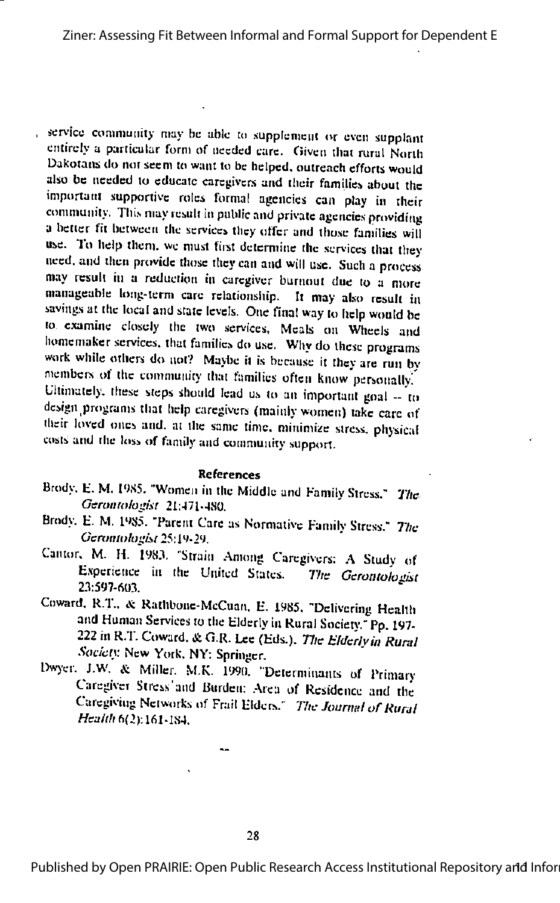, service community may be able to supplement or even supplant entirely a particular form of needed care. Given that rural North Dakotans do not seem to want to be helped, outreach efforts would also be needed to educate caregivers and their families about the important supportive roles formal agencies can play in their community. This may result in public and private agencies providing a better fit between the services they offer and those families will use. To help them, we must first determine the services that they need, and then provide those they can and will use. Such a process may result in a reduction in caregiver burnout due to a more manageable long-term care relationship. It may also result in savings at the local and state levels. One final way to help would be to examine closely the two services, Meals on Wheels and homemaker services, that families do use. Why do these programs work while others do not? Maybe it is because it they are run by members of the community that families often know personally. Ultimately, these steps should lead us to an important goal -- to design programs that help caregivers (mainly women) take care of their loved ones and, at the same time, minimize stress, physical costs and the loss of family and community support.

#### **References**

- Brody, E. M. 1985. "Women in the Middle and Family Stress." The Gerontologist 21:471-480.
- Brody, E. M. 1985. "Parent Care as Normative Family Stress." The Gerontologist 25:19-29.
- Cantor, M. H. 1983. 'Strain Among Caregivers: A Study of Experience in the United States. The Gerontologist 23:597-603.
- Coward, R.T., & Rathbone-McCuan, E. 1985, "Delivering Health and Human Services to the Elderly in Rural Society." Pp. 197-222 in R.T. Coward, & G.R. Lee (Eds.). The Elderly in Rural Society New York, NY: Springer.
- Dwyer, J.W. & Miller, M.K. 1990. "Determinants of Primary Caregiver Stress'and Burden; Area of Residence and the Caregiving Networks of Frail Elders." The Journal of Rural Health 6(2):161-184.

28

Published by Open PRAIRIE: Open Public Research Access Institutional Repository and Infor